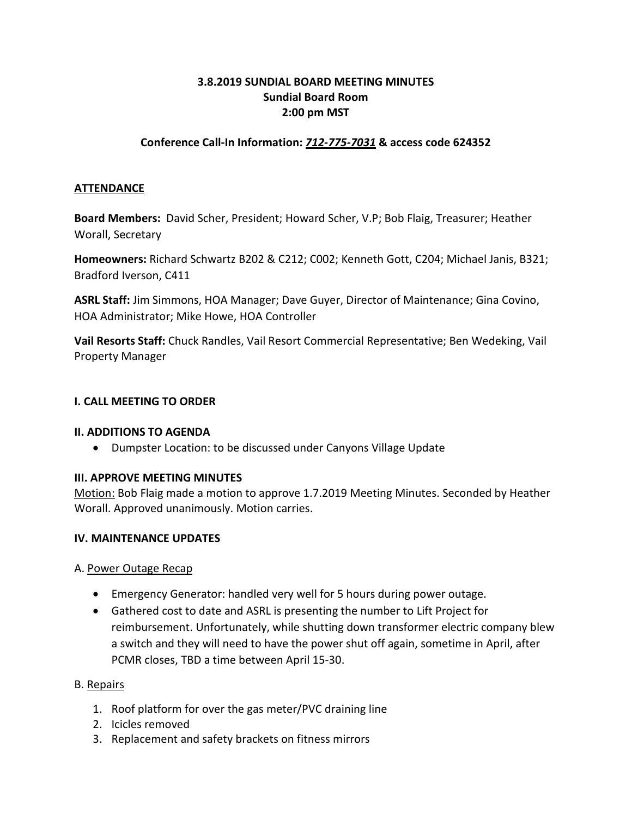## **3.8.2019 SUNDIAL BOARD MEETING MINUTES Sundial Board Room 2:00 pm MST**

## **Conference Call-In Information:** *712-775-7031* **& access code 624352**

### **ATTENDANCE**

**Board Members:** David Scher, President; Howard Scher, V.P; Bob Flaig, Treasurer; Heather Worall, Secretary

**Homeowners:** Richard Schwartz B202 & C212; C002; Kenneth Gott, C204; Michael Janis, B321; Bradford Iverson, C411

**ASRL Staff:** Jim Simmons, HOA Manager; Dave Guyer, Director of Maintenance; Gina Covino, HOA Administrator; Mike Howe, HOA Controller

**Vail Resorts Staff:** Chuck Randles, Vail Resort Commercial Representative; Ben Wedeking, Vail Property Manager

#### **I. CALL MEETING TO ORDER**

#### **II. ADDITIONS TO AGENDA**

• Dumpster Location: to be discussed under Canyons Village Update

### **III. APPROVE MEETING MINUTES**

Motion: Bob Flaig made a motion to approve 1.7.2019 Meeting Minutes. Seconded by Heather Worall. Approved unanimously. Motion carries.

#### **IV. MAINTENANCE UPDATES**

A. Power Outage Recap

- Emergency Generator: handled very well for 5 hours during power outage.
- Gathered cost to date and ASRL is presenting the number to Lift Project for reimbursement. Unfortunately, while shutting down transformer electric company blew a switch and they will need to have the power shut off again, sometime in April, after PCMR closes, TBD a time between April 15-30.

### B. Repairs

- 1. Roof platform for over the gas meter/PVC draining line
- 2. Icicles removed
- 3. Replacement and safety brackets on fitness mirrors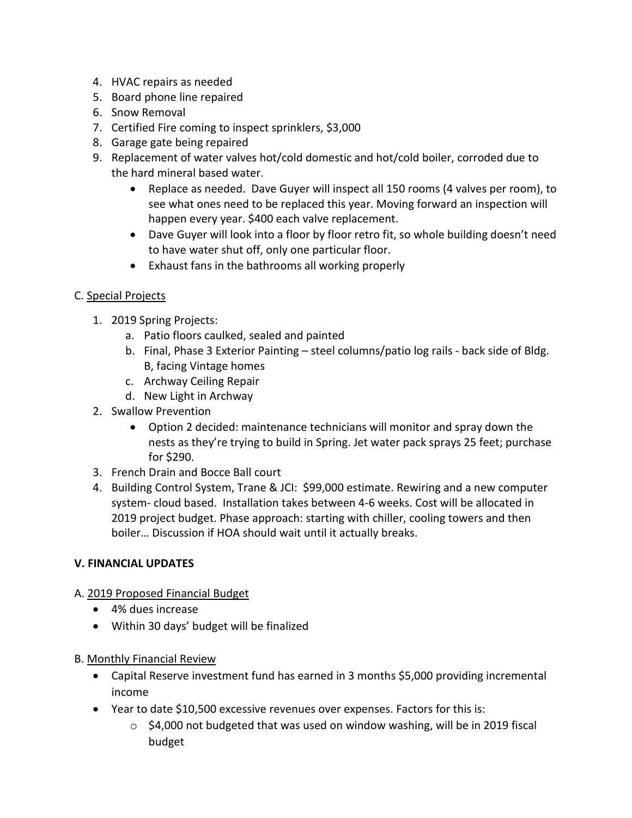- 4. HVAC repairs as needed
- 5. Board phone line repaired
- 6. Snow Removal
- 7. Certified Fire coming to inspect sprinklers, \$3,000
- 8. Garage gate being repaired
- 9. Replacement of water valves hot/cold domestic and hot/cold boiler, corroded due to the hard mineral based water.
	- Replace as needed. Dave Guyer will inspect all 150 rooms (4 valves per room), to see what ones need to be replaced this year. Moving forward an inspection will happen every year. \$400 each valve replacement.
	- Dave Guyer will look into a floor by floor retro fit, so whole building doesn't need to have water shut off, only one particular floor.
	- Exhaust fans in the bathrooms all working properly

# C. Special Projects

- 1. 2019 Spring Projects:
	- a. Patio floors caulked, sealed and painted
	- b. Final, Phase 3 Exterior Painting steel columns/patio log rails back side of Bldg. B, facing Vintage homes
	- c. Archway Ceiling Repair
	- d. New Light in Archway
- 2. Swallow Prevention
	- Option 2 decided: maintenance technicians will monitor and spray down the nests as they're trying to build in Spring. Jet water pack sprays 25 feet; purchase for \$290.
- 3. French Drain and Bocce Ball court
- 4. Building Control System, Trane & JCI: \$99,000 estimate. Rewiring and a new computer system- cloud based. Installation takes between 4-6 weeks. Cost will be allocated in 2019 project budget. Phase approach: starting with chiller, cooling towers and then boiler… Discussion if HOA should wait until it actually breaks.

## **V. FINANCIAL UPDATES**

- A. 2019 Proposed Financial Budget
	- 4% dues increase
	- Within 30 days' budget will be finalized
- B. Monthly Financial Review
	- Capital Reserve investment fund has earned in 3 months \$5,000 providing incremental income
	- Year to date \$10,500 excessive revenues over expenses. Factors for this is:
		- $\circ$  \$4,000 not budgeted that was used on window washing, will be in 2019 fiscal budget